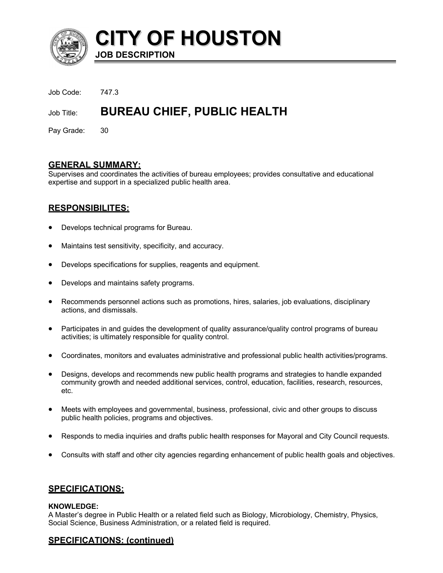

**CITY OF HOUSTON JOB DESCRIPTION**

Job Code: 747.3

# Job Title: **BUREAU CHIEF, PUBLIC HEALTH**

Pay Grade: 30

## **GENERAL SUMMARY:**

Supervises and coordinates the activities of bureau employees; provides consultative and educational expertise and support in a specialized public health area.

# **RESPONSIBILITES:**

- Develops technical programs for Bureau.
- Maintains test sensitivity, specificity, and accuracy.
- Develops specifications for supplies, reagents and equipment.
- Develops and maintains safety programs.
- Recommends personnel actions such as promotions, hires, salaries, job evaluations, disciplinary actions, and dismissals.
- Participates in and guides the development of quality assurance/quality control programs of bureau activities; is ultimately responsible for quality control.
- Coordinates, monitors and evaluates administrative and professional public health activities/programs.
- Designs, develops and recommends new public health programs and strategies to handle expanded community growth and needed additional services, control, education, facilities, research, resources, etc.
- Meets with employees and governmental, business, professional, civic and other groups to discuss public health policies, programs and objectives.
- Responds to media inquiries and drafts public health responses for Mayoral and City Council requests.
- Consults with staff and other city agencies regarding enhancement of public health goals and objectives.

## **SPECIFICATIONS:**

#### **KNOWLEDGE:**

A Master's degree in Public Health or a related field such as Biology, Microbiology, Chemistry, Physics, Social Science, Business Administration, or a related field is required.

# **SPECIFICATIONS: (continued)**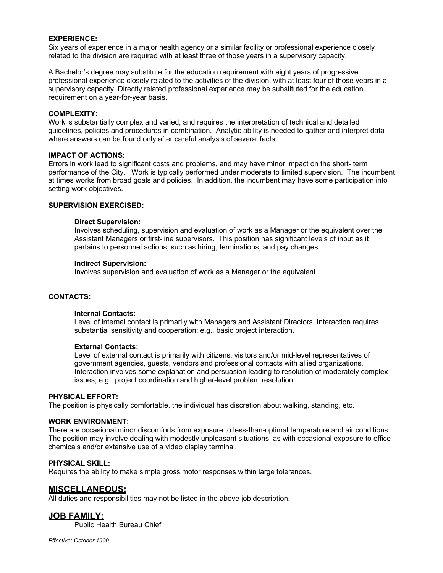#### **EXPERIENCE:**

Six years of experience in a major health agency or a similar facility or professional experience closely related to the division are required with at least three of those years in a supervisory capacity.

A Bachelor's degree may substitute for the education requirement with eight years of progressive professional experience closely related to the activities of the division, with at least four of those years in a supervisory capacity. Directly related professional experience may be substituted for the education requirement on a year-for-year basis.

#### **COMPLEXITY:**

Work is substantially complex and varied, and requires the interpretation of technical and detailed guidelines, policies and procedures in combination. Analytic ability is needed to gather and interpret data where answers can be found only after careful analysis of several facts.

#### **IMPACT OF ACTIONS:**

Errors in work lead to significant costs and problems, and may have minor impact on the short- term performance of the City. Work is typically performed under moderate to limited supervision. The incumbent at times works from broad goals and policies. In addition, the incumbent may have some participation into setting work objectives.

#### **SUPERVISION EXERCISED:**

#### **Direct Supervision:**

Involves scheduling, supervision and evaluation of work as a Manager or the equivalent over the Assistant Managers or first-line supervisors. This position has significant levels of input as it pertains to personnel actions, such as hiring, terminations, and pay changes.

#### **Indirect Supervision:**

Involves supervision and evaluation of work as a Manager or the equivalent.

#### **CONTACTS:**

#### **Internal Contacts:**

Level of internal contact is primarily with Managers and Assistant Directors. Interaction requires substantial sensitivity and cooperation; e.g., basic project interaction.

#### **External Contacts:**

Level of external contact is primarily with citizens, visitors and/or mid-level representatives of government agencies, guests, vendors and professional contacts with allied organizations. Interaction involves some explanation and persuasion leading to resolution of moderately complex issues; e.g., project coordination and higher-level problem resolution.

#### **PHYSICAL EFFORT:**

The position is physically comfortable, the individual has discretion about walking, standing, etc.

#### **WORK ENVIRONMENT:**

There are occasional minor discomforts from exposure to less-than-optimal temperature and air conditions. The position may involve dealing with modestly unpleasant situations, as with occasional exposure to office chemicals and/or extensive use of a video display terminal.

#### **PHYSICAL SKILL:**

Requires the ability to make simple gross motor responses within large tolerances.

#### **MISCELLANEOUS:**

All duties and responsibilities may not be listed in the above job description.

## **JOB FAMILY:**

Public Health Bureau Chief